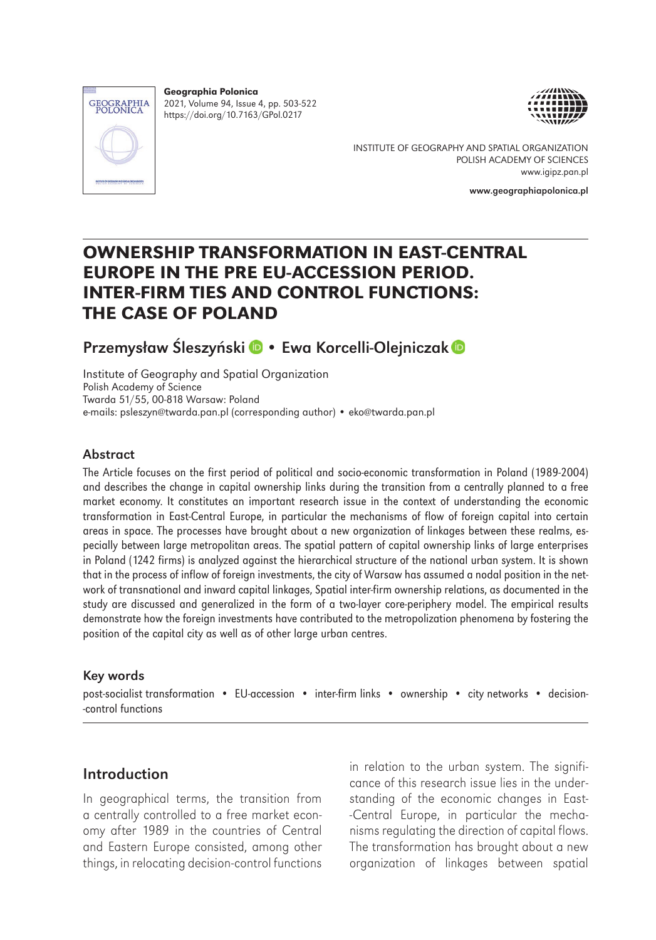

Geographia Polonica 2021, Volume 94, Issue 4, pp. 503-522 https://doi.org/10.7163/GPol.0217





INSTITUTE OF GEOGRAPHY AND SPATIAL ORGANIZATION POLISH ACADEMY OF SCIENCES www.igipz.pan.pl

www.geographiapolonica.pl

# OWNERSHIP TRANSFORMATION IN EAST-CENTRAL EUROPE IN THE PRE EU-ACCESSION PERIOD. INTER-FIRM TIES AND CONTROL FUNCTIONS: THE CASE OF POLAND

# PrzemysławŚleszyńs[k](https://orcid.org/0000-0002-9247-6182)i D • Ewa Korcelli-Olejniczak D

Institute of Geography and Spatial Organization Polish Academy of Science Twarda 51/55, 00-818 Warsaw: Poland e-mails: [psleszyn@twarda.pan.pl](mailto:psleszyn@twarda.pan.pl) (corresponding author) • [eko@twarda.pan.pl](mailto:eko@twarda.pan.pl)

#### Abstract

The Article focuses on the first period of political and socio-economic transformation in Poland (1989-2004) and describes the change in capital ownership links during the transition from a centrally planned to a free market economy. It constitutes an important research issue in the context of understanding the economic transformation in East-Central Europe, in particular the mechanisms of flow of foreign capital into certain areas in space. The processes have brought about a new organization of linkages between these realms, especially between large metropolitan areas. The spatial pattern of capital ownership links of large enterprises in Poland (1242 firms) is analyzed against the hierarchical structure of the national urban system. It is shown that in the process of inflow of foreign investments, the city of Warsaw has assumed a nodal position in the network of transnational and inward capital linkages, Spatial inter-firm ownership relations, as documented in the study are discussed and generalized in the form of a two-layer core-periphery model. The empirical results demonstrate how the foreign investments have contributed to the metropolization phenomena by fostering the position of the capital city as well as of other large urban centres.

#### Key words

post-socialist transformation • EU-accession • inter-firm links • ownership • city networks • decision- -control functions

## Introduction

In geographical terms, the transition from a centrally controlled to a free market economy after 1989 in the countries of Central and Eastern Europe consisted, among other things, in relocating decision-control functions

in relation to the urban system. The significance of this research issue lies in the understanding of the economic changes in East- -Central Europe, in particular the mechanisms regulating the direction of capital flows. The transformation has brought about a new organization of linkages between spatial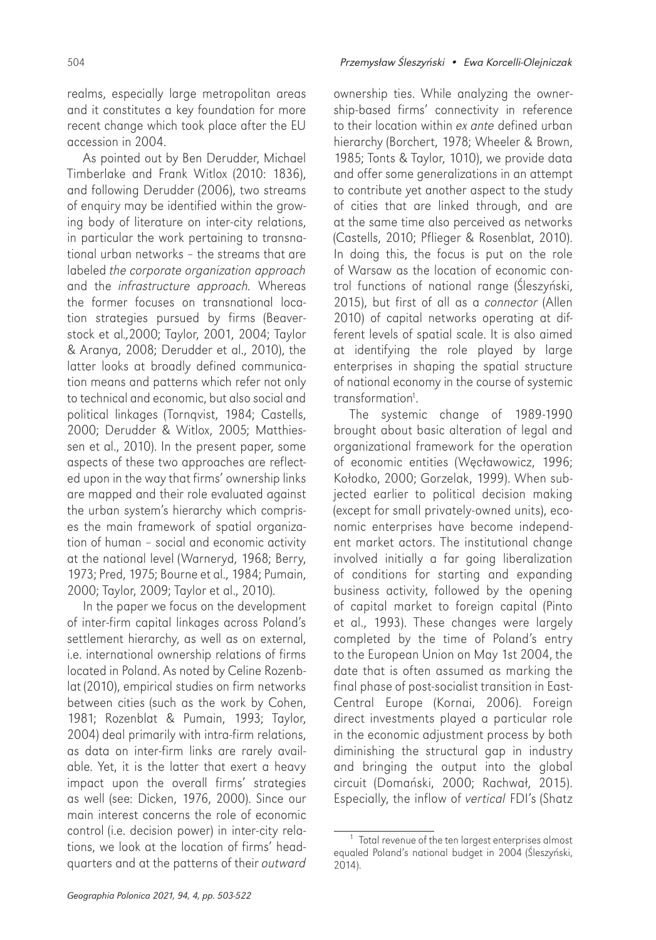realms, especially large metropolitan areas and it constitutes a key foundation for more recent change which took place after the EU accession in 2004.

As pointed out by Ben Derudder, Michael Timberlake and Frank Witlox (2010: 1836), and following Derudder (2006), two streams of enquiry may be identified within the growing body of literature on inter-city relations, in particular the work pertaining to transnational urban networks – the streams that are labeled the corporate organization approach and the infrastructure approach. Whereas the former focuses on transnational location strategies pursued by firms (Beaverstock et al.,2000; Taylor, 2001, 2004; Taylor & Aranya, 2008; Derudder et al., 2010), the latter looks at broadly defined communication means and patterns which refer not only to technical and economic, but also social and political linkages (Tornqvist, 1984; Castells, 2000; Derudder & Witlox, 2005; Matthiessen et al., 2010). In the present paper, some aspects of these two approaches are reflected upon in the way that firms' ownership links are mapped and their role evaluated against the urban system's hierarchy which comprises the main framework of spatial organization of human – social and economic activity at the national level (Warneryd, 1968; Berry, 1973; Pred, 1975; Bourne et al., 1984; Pumain, 2000; Taylor, 2009; Taylor et al., 2010).

In the paper we focus on the development of inter-firm capital linkages across Poland's settlement hierarchy, as well as on external, i.e. international ownership relations of firms located in Poland. As noted by Celine Rozenblat (2010), empirical studies on firm networks between cities (such as the work by Cohen, 1981; Rozenblat & Pumain, 1993; Taylor, 2004) deal primarily with intra-firm relations, as data on inter-firm links are rarely available. Yet, it is the latter that exert a heavy impact upon the overall firms' strategies as well (see: Dicken, 1976, 2000). Since our main interest concerns the role of economic control (i.e. decision power) in inter-city relations, we look at the location of firms' headquarters and at the patterns of their outward

ownership ties. While analyzing the ownership-based firms' connectivity in reference to their location within *ex ante* defined urban hierarchy (Borchert, 1978; Wheeler & Brown, 1985; Tonts & Taylor, 1010), we provide data and offer some generalizations in an attempt to contribute yet another aspect to the study of cities that are linked through, and are at the same time also perceived as networks (Castells, 2010; Pflieger & Rosenblat, 2010). In doing this, the focus is put on the role of Warsaw as the location of economic control functions of national range (Śleszyński, 2015), but first of all as a connector (Allen 2010) of capital networks operating at different levels of spatial scale. It is also aimed at identifying the role played by large enterprises in shaping the spatial structure of national economy in the course of systemic transformation<sup>1</sup>.

The systemic change of 1989-1990 brought about basic alteration of legal and organizational framework for the operation of economic entities (Węcławowicz, 1996; Kołodko, 2000; Gorzelak, 1999). When subjected earlier to political decision making (except for small privately-owned units), economic enterprises have become independent market actors. The institutional change involved initially a far going liberalization of conditions for starting and expanding business activity, followed by the opening of capital market to foreign capital (Pinto et al., 1993). These changes were largely completed by the time of Poland's entry to the European Union on May 1st 2004, the date that is often assumed as marking the final phase of post-socialist transition in East-Central Europe (Kornai, 2006). Foreign direct investments played a particular role in the economic adjustment process by both diminishing the structural gap in industry and bringing the output into the global circuit (Domański, 2000; Rachwał, 2015). Especially, the inflow of vertical FDI's (Shatz

 $1$  Total revenue of the ten largest enterprises almost equaled Poland's national budget in 2004 (Śleszyński, 2014).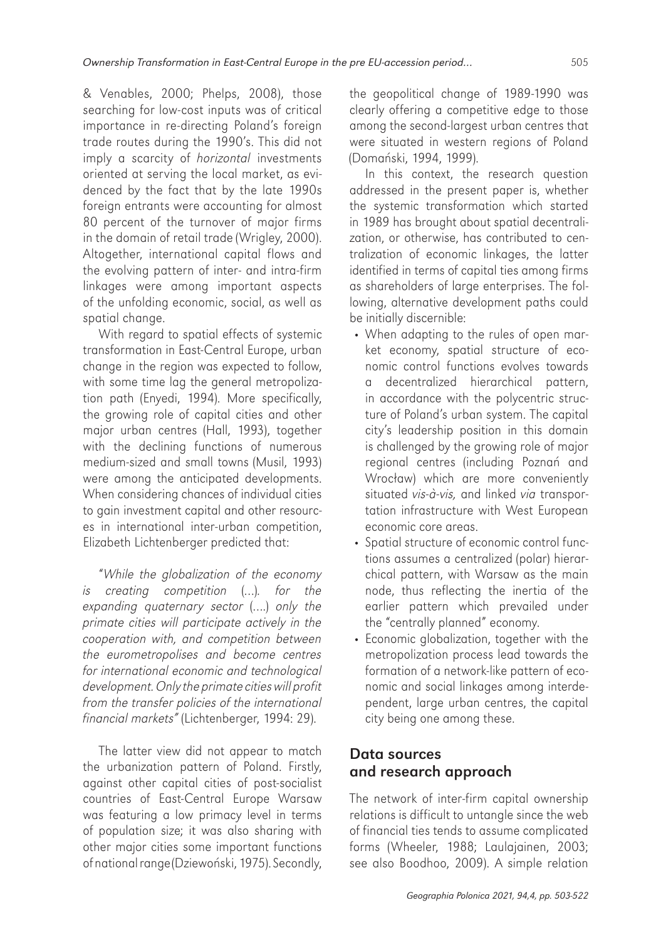& Venables, 2000; Phelps, 2008), those searching for low-cost inputs was of critical importance in re-directing Poland's foreign trade routes during the 1990's. This did not imply a scarcity of *horizontal* investments oriented at serving the local market, as evidenced by the fact that by the late 1990s foreign entrants were accounting for almost 80 percent of the turnover of major firms in the domain of retail trade (Wrigley, 2000). Altogether, international capital flows and the evolving pattern of inter- and intra-firm linkages were among important aspects of the unfolding economic, social, as well as spatial change.

With regard to spatial effects of systemic transformation in East-Central Europe, urban change in the region was expected to follow, with some time lag the general metropolization path (Enyedi, 1994). More specifically, the growing role of capital cities and other major urban centres (Hall, 1993), together with the declining functions of numerous medium-sized and small towns (Musil, 1993) were among the anticipated developments. When considering chances of individual cities to gain investment capital and other resources in international inter-urban competition, Elizabeth Lichtenberger predicted that:

"While the globalization of the economy is creating competition (…). for the expanding quaternary sector (….) only the primate cities will participate actively in the cooperation with, and competition between the eurometropolises and become centres for international economic and technological development. Only the primate cities will profit from the transfer policies of the international financial markets" (Lichtenberger, 1994: 29).

The latter view did not appear to match the urbanization pattern of Poland. Firstly, against other capital cities of post-socialist countries of East-Central Europe Warsaw was featuring a low primacy level in terms of population size; it was also sharing with other major cities some important functions of national range (Dziewoński, 1975). Secondly,

the geopolitical change of 1989-1990 was clearly offering a competitive edge to those among the second-largest urban centres that were situated in western regions of Poland (Domański, 1994, 1999).

In this context, the research question addressed in the present paper is, whether the systemic transformation which started in 1989 has brought about spatial decentralization, or otherwise, has contributed to centralization of economic linkages, the latter identified in terms of capital ties among firms as shareholders of large enterprises. The following, alternative development paths could be initially discernible:

- When adapting to the rules of open market economy, spatial structure of economic control functions evolves towards a decentralized hierarchical pattern, in accordance with the polycentric structure of Poland's urban system. The capital city's leadership position in this domain is challenged by the growing role of major regional centres (including Poznań and Wrocław) which are more conveniently situated vis-à-vis, and linked via transportation infrastructure with West European economic core areas.
- Spatial structure of economic control functions assumes a centralized (polar) hierarchical pattern, with Warsaw as the main node, thus reflecting the inertia of the earlier pattern which prevailed under the "centrally planned" economy.
- Economic globalization, together with the metropolization process lead towards the formation of a network-like pattern of economic and social linkages among interdependent, large urban centres, the capital city being one among these.

## Data sources and research approach

The network of inter-firm capital ownership relations is difficult to untangle since the web of financial ties tends to assume complicated forms (Wheeler, 1988; Laulajainen, 2003; see also Boodhoo, 2009). A simple relation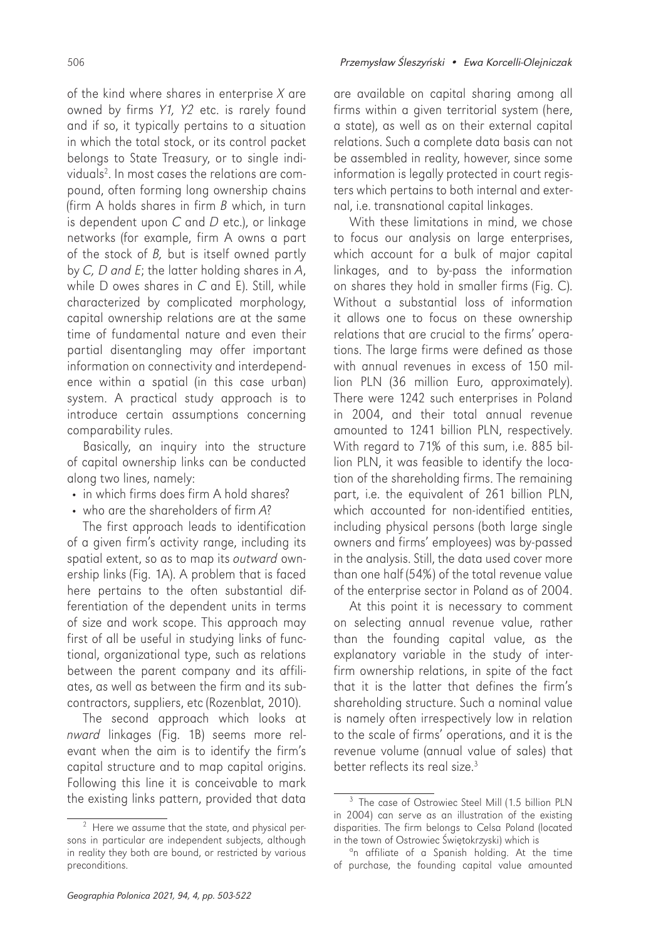of the kind where shares in enterprise  $X$  are owned by firms Y1, Y2 etc. is rarely found and if so, it typically pertains to a situation in which the total stock, or its control packet belongs to State Treasury, or to single individuals $^{2}$ . In most cases the relations are compound, often forming long ownership chains (firm A holds shares in firm  $B$  which, in turn is dependent upon  $C$  and  $D$  etc.), or linkage networks (for example, firm A owns a part of the stock of  $B$ , but is itself owned partly by C, D and E; the latter holding shares in A, while D owes shares in C and E). Still, while characterized by complicated morphology, capital ownership relations are at the same time of fundamental nature and even their partial disentangling may offer important information on connectivity and interdependence within a spatial (in this case urban) system. A practical study approach is to introduce certain assumptions concerning comparability rules.

Basically, an inquiry into the structure of capital ownership links can be conducted along two lines, namely:

- in which firms does firm A hold shares?
- who are the shareholders of firm A?

The first approach leads to identification of a given firm's activity range, including its spatial extent, so as to map its outward ownership links (Fig. 1A). A problem that is faced here pertains to the often substantial differentiation of the dependent units in terms of size and work scope. This approach may first of all be useful in studying links of functional, organizational type, such as relations between the parent company and its affiliates, as well as between the firm and its subcontractors, suppliers, etc (Rozenblat, 2010).

The second approach which looks at nward linkages (Fig. 1B) seems more relevant when the aim is to identify the firm's capital structure and to map capital origins. Following this line it is conceivable to mark the existing links pattern, provided that data

are available on capital sharing among all firms within a given territorial system (here, a state), as well as on their external capital relations. Such a complete data basis can not be assembled in reality, however, since some information is legally protected in court registers which pertains to both internal and external, i.e. transnational capital linkages.

With these limitations in mind, we chose to focus our analysis on large enterprises, which account for a bulk of major capital linkages, and to by-pass the information on shares they hold in smaller firms (Fig. C). Without a substantial loss of information it allows one to focus on these ownership relations that are crucial to the firms' operations. The large firms were defined as those with annual revenues in excess of 150 million PLN (36 million Euro, approximately). There were 1242 such enterprises in Poland in 2004, and their total annual revenue amounted to 1241 billion PLN, respectively. With regard to 71% of this sum, i.e. 885 billion PLN, it was feasible to identify the location of the shareholding firms. The remaining part, i.e. the equivalent of 261 billion PLN, which accounted for non-identified entities, including physical persons (both large single owners and firms' employees) was by-passed in the analysis. Still, the data used cover more than one half (54%) of the total revenue value of the enterprise sector in Poland as of 2004.

At this point it is necessary to comment on selecting annual revenue value, rather than the founding capital value, as the explanatory variable in the study of interfirm ownership relations, in spite of the fact that it is the latter that defines the firm's shareholding structure. Such a nominal value is namely often irrespectively low in relation to the scale of firms' operations, and it is the revenue volume (annual value of sales) that better reflects its real size.<sup>3</sup>

 $2$  Here we assume that the state, and physical persons in particular are independent subjects, although in reality they both are bound, or restricted by various preconditions.

<sup>&</sup>lt;sup>3</sup> The case of Ostrowiec Steel Mill (1.5 billion PLN in 2004) can serve as an illustration of the existing disparities. The firm belongs to Celsa Poland (located in the town of Ostrowiec Świętokrzyski) which is

<sup>&</sup>lt;sup>a</sup>n affiliate of a Spanish holding. At the time of purchase, the founding capital value amounted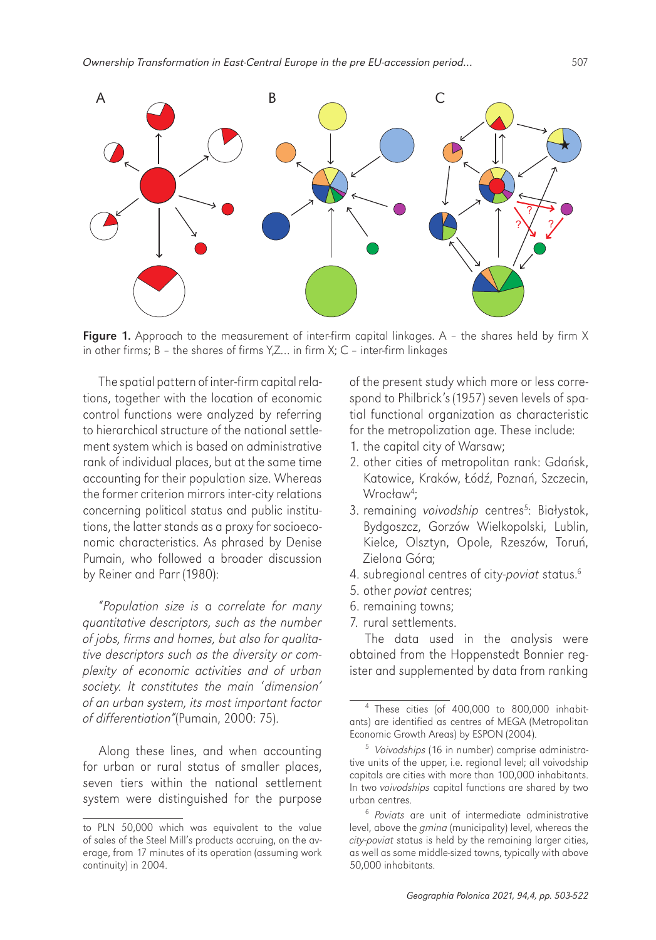

**Figure 1.** Approach to the measurement of inter-firm capital linkages. A - the shares held by firm X in other firms; B – the shares of firms Y,Z… in firm X; C – inter-firm linkages

The spatial pattern of inter-firm capital relations, together with the location of economic control functions were analyzed by referring to hierarchical structure of the national settlement system which is based on administrative rank of individual places, but at the same time accounting for their population size. Whereas the former criterion mirrors inter-city relations concerning political status and public institutions, the latter stands as a proxy for socioeconomic characteristics. As phrased by Denise Pumain, who followed a broader discussion by Reiner and Parr (1980):

"Population size is a correlate for many quantitative descriptors, such as the number of jobs, firms and homes, but also for qualitative descriptors such as the diversity or complexity of economic activities and of urban society. It constitutes the main 'dimension' of an urban system, its most important factor of differentiation"(Pumain, 2000: 75).

Along these lines, and when accounting for urban or rural status of smaller places, seven tiers within the national settlement system were distinguished for the purpose

of the present study which more or less correspond to Philbrick's (1957) seven levels of spatial functional organization as characteristic for the metropolization age. These include:

- 1. the capital city of Warsaw;
- 2. other cities of metropolitan rank: Gdańsk, Katowice, Kraków, Łódź, Poznań, Szczecin, Wrocław<sup>4</sup> ;
- 3. remaining voivodship centres<sup>5</sup>: Białystok, Bydgoszcz, Gorzów Wielkopolski, Lublin, Kielce, Olsztyn, Opole, Rzeszów, Toruń, Zielona Góra;
- 4. subregional centres of city-poviat status.<sup>6</sup>
- 5. other poviat centres;
- 6. remaining towns;
- 7. rural settlements.

The data used in the analysis were obtained from the Hoppenstedt Bonnier register and supplemented by data from ranking

to PLN 50,000 which was equivalent to the value of sales of the Steel Mill's products accruing, on the average, from 17 minutes of its operation (assuming work continuity) in 2004.

<sup>4</sup> These cities (of 400,000 to 800,000 inhabitants) are identified as centres of MEGA (Metropolitan Economic Growth Areas) by ESPON (2004).

<sup>&</sup>lt;sup>5</sup> Voivodships (16 in number) comprise administrative units of the upper, i.e. regional level; all voivodship capitals are cities with more than 100,000 inhabitants. In two voivodships capital functions are shared by two urban centres.

<sup>6</sup> Poviats are unit of intermediate administrative level, above the gmina (municipality) level, whereas the city-poviat status is held by the remaining larger cities, as well as some middle-sized towns, typically with above 50,000 inhabitants.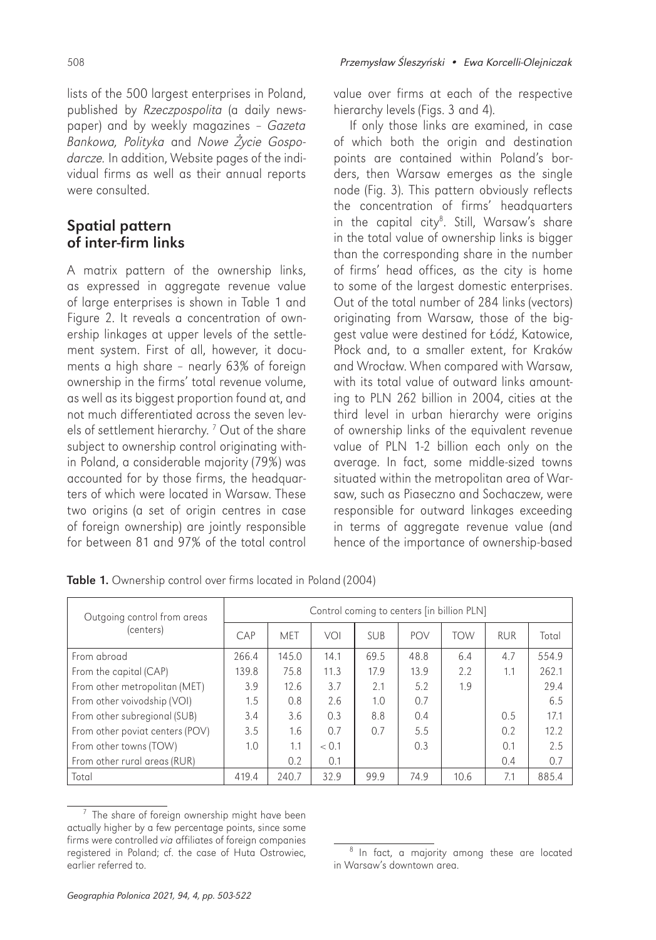lists of the 500 largest enterprises in Poland, published by Rzeczpospolita (a daily newspaper) and by weekly magazines – Gazeta Bankowa, Polityka and Nowe Życie Gospodarcze. In addition, Website pages of the individual firms as well as their annual reports were consulted.

## Spatial pattern of inter-firm links

A matrix pattern of the ownership links, as expressed in aggregate revenue value of large enterprises is shown in Table 1 and Figure 2. It reveals a concentration of ownership linkages at upper levels of the settlement system. First of all, however, it documents a high share – nearly 63% of foreign ownership in the firms' total revenue volume, as well as its biggest proportion found at, and not much differentiated across the seven levels of settlement hierarchy. 7 Out of the share subject to ownership control originating within Poland, a considerable majority (79%) was accounted for by those firms, the headquarters of which were located in Warsaw. These two origins (a set of origin centres in case of foreign ownership) are jointly responsible for between 81 and 97% of the total control

value over firms at each of the respective hierarchy levels (Figs. 3 and 4).

If only those links are examined, in case of which both the origin and destination points are contained within Poland's borders, then Warsaw emerges as the single node (Fig. 3). This pattern obviously reflects the concentration of firms' headquarters in the capital city<sup>8</sup>. Still, Warsaw's share in the total value of ownership links is bigger than the corresponding share in the number of firms' head offices, as the city is home to some of the largest domestic enterprises. Out of the total number of 284 links (vectors) originating from Warsaw, those of the biggest value were destined for Łódź, Katowice, Płock and, to a smaller extent, for Kraków and Wrocław. When compared with Warsaw, with its total value of outward links amounting to PLN 262 billion in 2004, cities at the third level in urban hierarchy were origins of ownership links of the equivalent revenue value of PLN 1-2 billion each only on the average. In fact, some middle-sized towns situated within the metropolitan area of Warsaw, such as Piaseczno and Sochaczew, were responsible for outward linkages exceeding in terms of aggregate revenue value (and hence of the importance of ownership-based

| Outgoing control from areas<br>(centers) | Control coming to centers [in billion PLN] |       |       |            |      |            |            |       |
|------------------------------------------|--------------------------------------------|-------|-------|------------|------|------------|------------|-------|
|                                          | CAP                                        | MFT   | VOI   | <b>SUB</b> | POV  | <b>TOW</b> | <b>RUR</b> | Total |
| From abroad                              | 266.4                                      | 145.0 | 14.1  | 69.5       | 48.8 | 6.4        | 4.7        | 554.9 |
| From the capital (CAP)                   | 139.8                                      | 75.8  | 11.3  | 17.9       | 13.9 | 2.2        | 1.1        | 262.1 |
| From other metropolitan (MET)            | 3.9                                        | 12.6  | 3.7   | 2.1        | 5.2  | 1.9        |            | 29.4  |
| From other voivodship (VOI)              | 1.5                                        | 0.8   | 2.6   | 1.0        | 0.7  |            |            | 6.5   |
| From other subregional (SUB)             | 3.4                                        | 3.6   | 0.3   | 8.8        | 0.4  |            | 0.5        | 17.1  |
| From other poviat centers (POV)          | 3.5                                        | 1.6   | 0.7   | 0.7        | 5.5  |            | 0.2        | 12.2  |
| From other towns (TOW)                   | 1.0                                        | 1.1   | < 0.1 |            | 0.3  |            | 0.1        | 2.5   |
| From other rural areas (RUR)             |                                            | 0.2   | 0.1   |            |      |            | 0.4        | 0.7   |
| Total                                    | 419.4                                      | 240.7 | 32.9  | 99.9       | 74.9 | 10.6       | 7.1        | 885.4 |

Table 1. Ownership control over firms located in Poland (2004)

 $7$  The share of foreign ownership might have been actually higher by a few percentage points, since some firms were controlled via affiliates of foreign companies registered in Poland; cf. the case of Huta Ostrowiec, earlier referred to.

<sup>&</sup>lt;sup>8</sup> In fact, a majority among these are located in Warsaw's downtown area.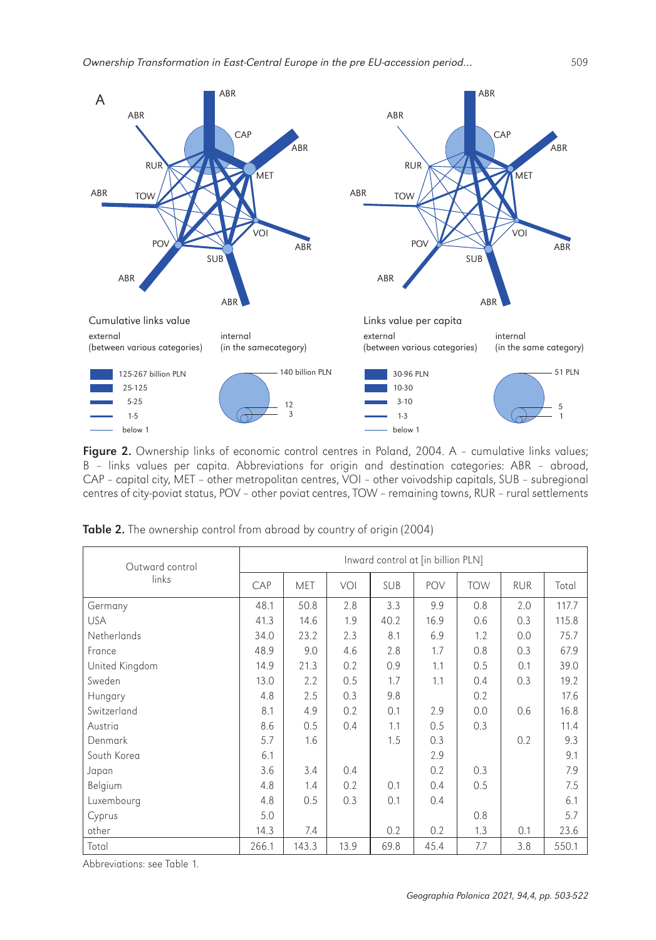

Figure 2. Ownership links of economic control centres in Poland, 2004. A - cumulative links values; B – links values per capita. Abbreviations for origin and destination categories: ABR – abroad, CAP – capital city, MET – other metropolitan centres, VOI – other voivodship capitals, SUB – subregional centres of city-poviat status, POV – other poviat centres, TOW – remaining towns, RUR – rural settlements

| Outward control<br>links | Inward control at [in billion PLN] |       |      |            |      |            |            |       |
|--------------------------|------------------------------------|-------|------|------------|------|------------|------------|-------|
|                          | CAP                                | MET   | VOI  | <b>SUB</b> | POV  | <b>TOW</b> | <b>RUR</b> | Total |
| Germany                  | 48.1                               | 50.8  | 2.8  | 3.3        | 9.9  | 0.8        | 2.0        | 117.7 |
| <b>USA</b>               | 41.3                               | 14.6  | 1.9  | 40.2       | 16.9 | 0.6        | 0.3        | 115.8 |
| <b>Netherlands</b>       | 34.0                               | 23.2  | 2.3  | 8.1        | 6.9  | 1.2        | 0.0        | 75.7  |
| France                   | 48.9                               | 9.0   | 4.6  | 2.8        | 1.7  | 0.8        | 0.3        | 67.9  |
| United Kingdom           | 14.9                               | 21.3  | 0.2  | 0.9        | 1.1  | 0.5        | 0.1        | 39.0  |
| Sweden                   | 13.0                               | 2.2   | 0.5  | 1.7        | 1.1  | 0.4        | 0.3        | 19.2  |
| Hungary                  | 4.8                                | 2.5   | 0.3  | 9.8        |      | 0.2        |            | 17.6  |
| Switzerland              | 8.1                                | 4.9   | 0.2  | 0.1        | 2.9  | 0.0        | 0.6        | 16.8  |
| Austria                  | 8.6                                | 0.5   | 0.4  | 1.1        | 0.5  | 0.3        |            | 11.4  |
| Denmark                  | 5.7                                | 1.6   |      | 1.5        | 0.3  |            | 0.2        | 9.3   |
| South Korea              | 6.1                                |       |      |            | 2.9  |            |            | 9.1   |
| Japan                    | 3.6                                | 3.4   | 0.4  |            | 0.2  | 0.3        |            | 7.9   |
| Belgium                  | 4.8                                | 1.4   | 0.2  | 0.1        | 0.4  | 0.5        |            | 7.5   |
| Luxembourg               | 4.8                                | 0.5   | 0.3  | 0.1        | 0.4  |            |            | 6.1   |
| Cyprus                   | 5.0                                |       |      |            |      | 0.8        |            | 5.7   |
| other                    | 14.3                               | 7.4   |      | 0.2        | 0.2  | 1.3        | 0.1        | 23.6  |
| Total                    | 266.1                              | 143.3 | 13.9 | 69.8       | 45.4 | 7.7        | 3.8        | 550.1 |

Table 2. The ownership control from abroad by country of origin (2004)

Abbreviations: see Table 1.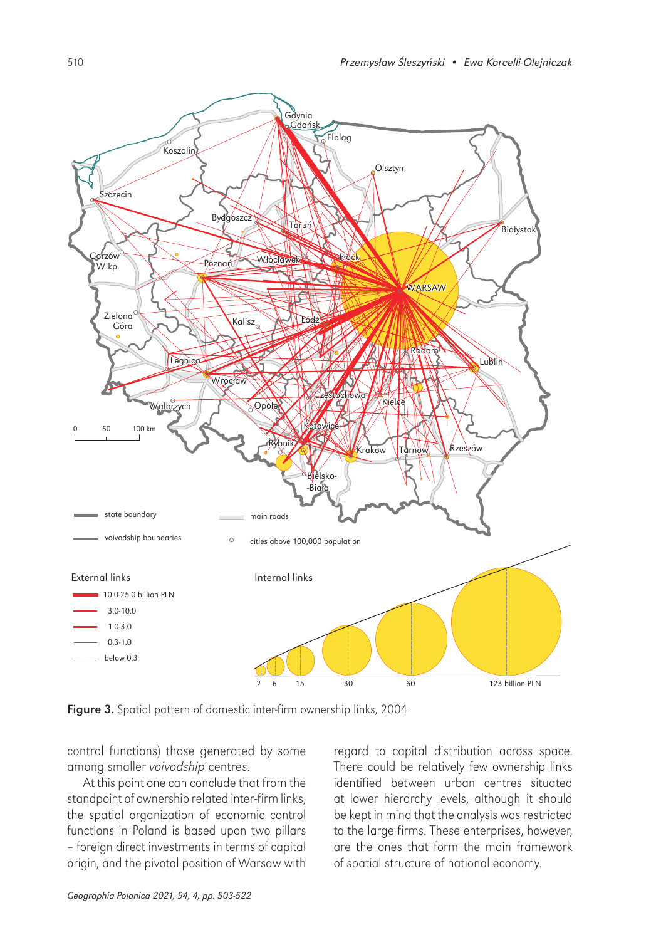

Figure 3. Spatial pattern of domestic inter-firm ownership links, 2004

control functions) those generated by some among smaller voivodship centres.

At this point one can conclude that from the standpoint of ownership related inter-firm links, the spatial organization of economic control functions in Poland is based upon two pillars – foreign direct investments in terms of capital origin, and the pivotal position of Warsaw with

regard to capital distribution across space. There could be relatively few ownership links identified between urban centres situated at lower hierarchy levels, although it should be kept in mind that the analysis was restricted to the large firms. These enterprises, however, are the ones that form the main framework of spatial structure of national economy.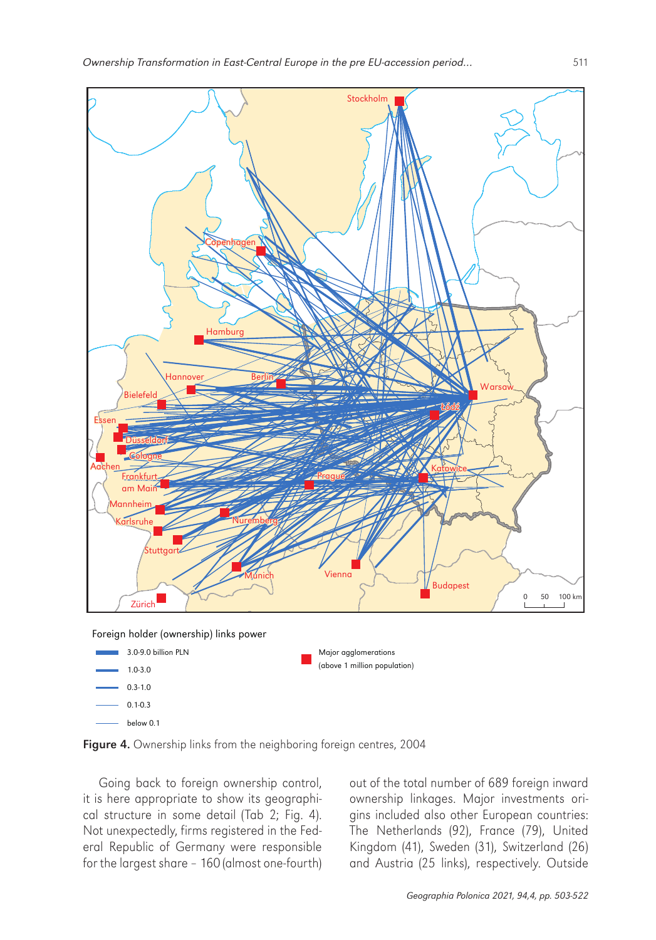![](_page_8_Figure_1.jpeg)

below 0.1

Figure 4. Ownership links from the neighboring foreign centres, 2004

Going back to foreign ownership control, it is here appropriate to show its geographical structure in some detail (Tab 2; Fig. 4). Not unexpectedly, firms registered in the Federal Republic of Germany were responsible for the largest share – 160 (almost one-fourth) out of the total number of 689 foreign inward ownership linkages. Major investments origins included also other European countries: The Netherlands (92), France (79), United Kingdom (41), Sweden (31), Switzerland (26) and Austria (25 links), respectively. Outside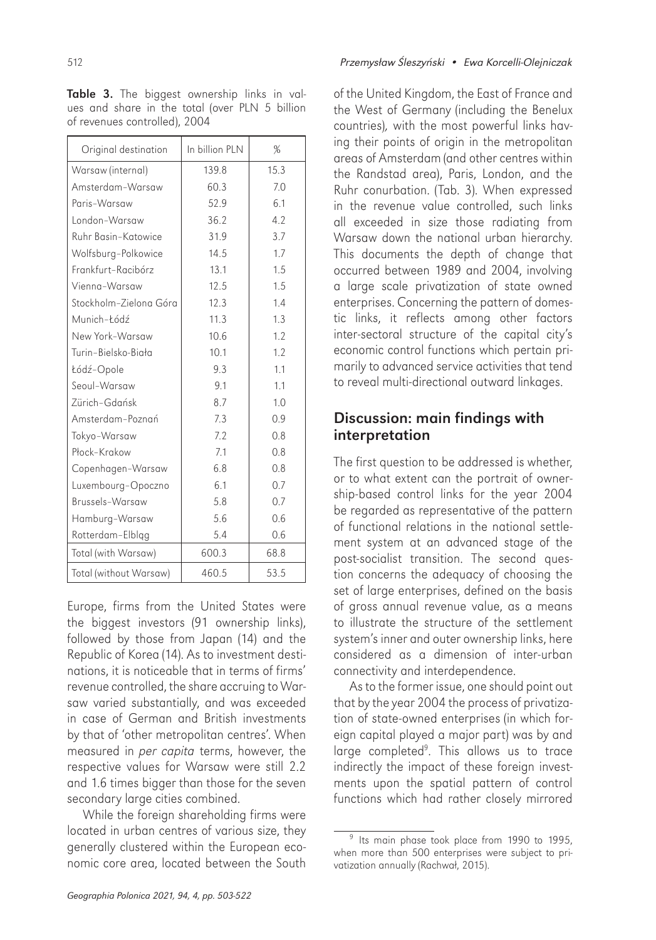Table 3. The biggest ownership links in values and share in the total (over PLN 5 billion of revenues controlled), 2004

| Original destination   | In billion PIN | %    |
|------------------------|----------------|------|
| Warsaw (internal)      | 139.8          | 15.3 |
| Amsterdam-Warsaw       | 60.3           | 7.0  |
| Paris-Warsaw           | 52.9           | 6.1  |
| I ondon-Warsaw         | 36.2           | 4.2  |
| Ruhr Basin-Katowice    | 31.9           | 3.7  |
| Wolfsburg-Polkowice    | 14.5           | 1.7  |
| Frankfurt-Racibórz     | 13.1           | 1.5  |
| Vienna-Warsaw          | 12.5           | 1.5  |
| Stockholm-Zielona Góra | 12.3           | 1.4  |
| Munich-Łódź            | 11.3           | 1.3  |
| New York-Warsaw        | 10.6           | 1.2  |
| Turin-Bielsko-Biała    | 10.1           | 1.2  |
| Łódź-Opole             | 9.3            | 1.1  |
| Seoul-Warsaw           | 9.1            | 1.1  |
| Zürich-Gdańsk          | 8.7            | 1.0  |
| Amsterdam-Poznań       | 7.3            | 0.9  |
| Tokyo-Warsaw           | 7.2            | 0.8  |
| Płock-Krakow           | 7.1            | 0.8  |
| Copenhagen-Warsaw      | 6.8            | 0.8  |
| Luxembourg-Opoczno     | 6.1            | 0.7  |
| Brussels-Warsaw        | 5.8            | 0.7  |
| Hamburg-Warsaw         | 5.6            | 0.6  |
| Rotterdam-Elbląg       | 5.4            | 0.6  |
| Total (with Warsaw)    | 600.3          | 68.8 |
| Total (without Warsaw) | 460.5          | 53.5 |

Europe, firms from the United States were the biggest investors (91 ownership links), followed by those from Japan (14) and the Republic of Korea (14). As to investment destinations, it is noticeable that in terms of firms' revenue controlled, the share accruing to Warsaw varied substantially, and was exceeded in case of German and British investments by that of 'other metropolitan centres'. When measured in per capita terms, however, the respective values for Warsaw were still 2.2 and 1.6 times bigger than those for the seven secondary large cities combined.

While the foreign shareholding firms were located in urban centres of various size, they generally clustered within the European economic core area, located between the South

of the United Kingdom, the East of France and the West of Germany (including the Benelux countries), with the most powerful links having their points of origin in the metropolitan areas of Amsterdam (and other centres within the Randstad area), Paris, London, and the Ruhr conurbation. (Tab. 3). When expressed in the revenue value controlled, such links all exceeded in size those radiating from Warsaw down the national urban hierarchy. This documents the depth of change that occurred between 1989 and 2004, involving a large scale privatization of state owned enterprises. Concerning the pattern of domestic links, it reflects among other factors inter-sectoral structure of the capital city's economic control functions which pertain primarily to advanced service activities that tend to reveal multi-directional outward linkages.

#### Discussion: main findings with interpretation

The first question to be addressed is whether, or to what extent can the portrait of ownership-based control links for the year 2004 be regarded as representative of the pattern of functional relations in the national settlement system at an advanced stage of the post-socialist transition. The second question concerns the adequacy of choosing the set of large enterprises, defined on the basis of gross annual revenue value, as a means to illustrate the structure of the settlement system's inner and outer ownership links, here considered as a dimension of inter-urban connectivity and interdependence.

As to the former issue, one should point out that by the year 2004 the process of privatization of state-owned enterprises (in which foreign capital played a major part) was by and large completed<sup>9</sup>. This allows us to trace indirectly the impact of these foreign investments upon the spatial pattern of control functions which had rather closely mirrored

<sup>&</sup>lt;sup>9</sup> Its main phase took place from 1990 to 1995, when more than 500 enterprises were subject to privatization annually (Rachwał, 2015).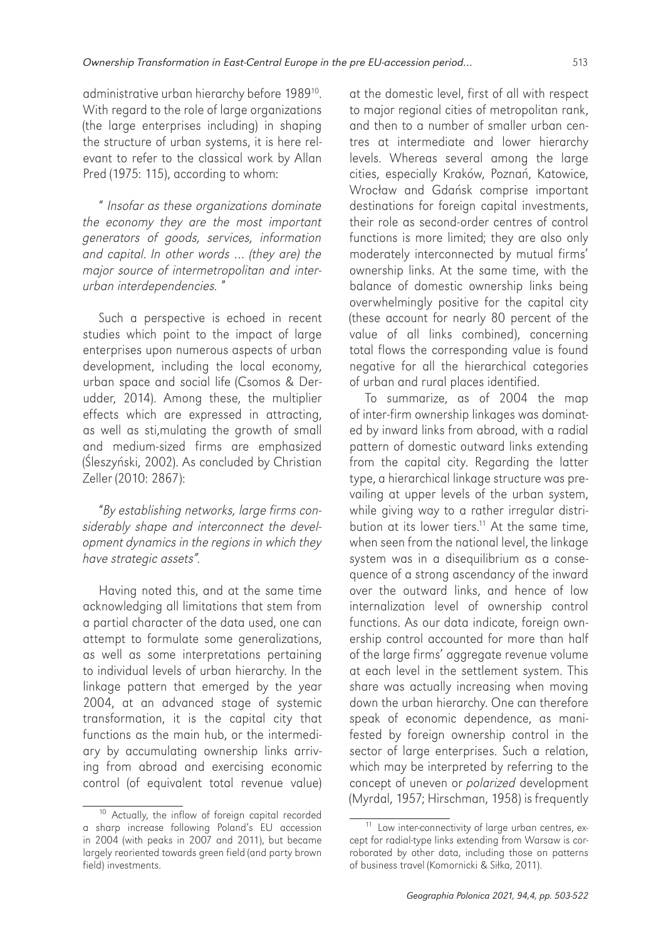administrative urban hierarchy before 1989<sup>10</sup>. With regard to the role of large organizations (the large enterprises including) in shaping the structure of urban systems, it is here relevant to refer to the classical work by Allan Pred (1975: 115), according to whom:

" Insofar as these organizations dominate the economy they are the most important generators of goods, services, information and capital. In other words … (they are) the major source of intermetropolitan and interurban interdependencies. "

Such a perspective is echoed in recent studies which point to the impact of large enterprises upon numerous aspects of urban development, including the local economy, urban space and social life (Csomos & Derudder, 2014). Among these, the multiplier effects which are expressed in attracting, as well as sti,mulating the growth of small and medium-sized firms are emphasized (Śleszyński, 2002). As concluded by Christian Zeller (2010: 2867):

"By establishing networks, large firms considerably shape and interconnect the development dynamics in the regions in which they have strategic assets".

Having noted this, and at the same time acknowledging all limitations that stem from a partial character of the data used, one can attempt to formulate some generalizations, as well as some interpretations pertaining to individual levels of urban hierarchy. In the linkage pattern that emerged by the year 2004, at an advanced stage of systemic transformation, it is the capital city that functions as the main hub, or the intermediary by accumulating ownership links arriving from abroad and exercising economic control (of equivalent total revenue value)

at the domestic level, first of all with respect to major regional cities of metropolitan rank, and then to a number of smaller urban centres at intermediate and lower hierarchy levels. Whereas several among the large cities, especially Kraków, Poznań, Katowice, Wrocław and Gdańsk comprise important destinations for foreign capital investments, their role as second-order centres of control functions is more limited; they are also only moderately interconnected by mutual firms' ownership links. At the same time, with the balance of domestic ownership links being overwhelmingly positive for the capital city (these account for nearly 80 percent of the value of all links combined), concerning total flows the corresponding value is found negative for all the hierarchical categories of urban and rural places identified.

To summarize, as of 2004 the map of inter-firm ownership linkages was dominated by inward links from abroad, with a radial pattern of domestic outward links extending from the capital city. Regarding the latter type, a hierarchical linkage structure was prevailing at upper levels of the urban system, while giving way to a rather irregular distribution at its lower tiers.<sup>11</sup> At the same time, when seen from the national level, the linkage system was in a disequilibrium as a consequence of a strong ascendancy of the inward over the outward links, and hence of low internalization level of ownership control functions. As our data indicate, foreign ownership control accounted for more than half of the large firms' aggregate revenue volume at each level in the settlement system. This share was actually increasing when moving down the urban hierarchy. One can therefore speak of economic dependence, as manifested by foreign ownership control in the sector of large enterprises. Such a relation, which may be interpreted by referring to the concept of uneven or polarized development (Myrdal, 1957; Hirschman, 1958) is frequently

<sup>&</sup>lt;sup>10</sup> Actually, the inflow of foreign capital recorded a sharp increase following Poland's EU accession in 2004 (with peaks in 2007 and 2011), but became largely reoriented towards green field (and party brown field) investments.

<sup>&</sup>lt;sup>11</sup> Low inter-connectivity of large urban centres, except for radial-type links extending from Warsaw is corroborated by other data, including those on patterns of business travel (Komornicki & Siłka, 2011).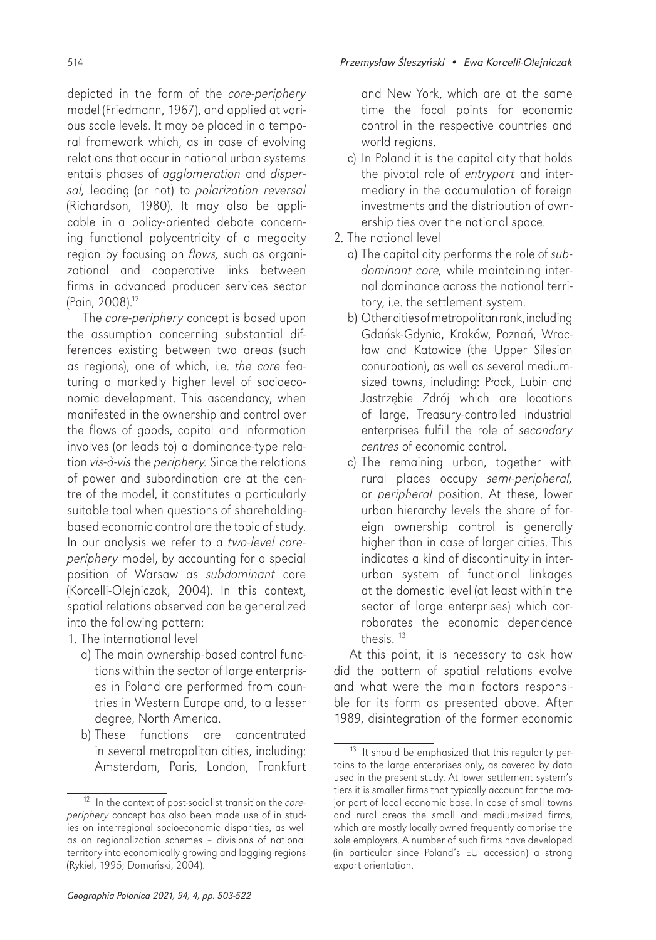depicted in the form of the core-periphery model (Friedmann, 1967), and applied at various scale levels. It may be placed in a temporal framework which, as in case of evolving

relations that occur in national urban systems entails phases of agglomeration and dispersal, leading (or not) to polarization reversal (Richardson, 1980). It may also be applicable in a policy-oriented debate concerning functional polycentricity of a megacity region by focusing on flows, such as organizational and cooperative links between firms in advanced producer services sector (Pain, 2008).12

The core-periphery concept is based upon the assumption concerning substantial differences existing between two areas (such as regions), one of which, i.e. the core featuring a markedly higher level of socioeconomic development. This ascendancy, when manifested in the ownership and control over the flows of goods, capital and information involves (or leads to) a dominance-type relation vis-à-vis the periphery. Since the relations of power and subordination are at the centre of the model, it constitutes a particularly suitable tool when questions of shareholdingbased economic control are the topic of study. In our analysis we refer to a two-level coreperiphery model, by accounting for a special position of Warsaw as subdominant core (Korcelli-Olejniczak, 2004). In this context, spatial relations observed can be generalized into the following pattern:

1. The international level

- a) The main ownership-based control functions within the sector of large enterprises in Poland are performed from countries in Western Europe and, to a lesser degree, North America.
- b) These functions are concentrated in several metropolitan cities, including: Amsterdam, Paris, London, Frankfurt

and New York, which are at the same time the focal points for economic control in the respective countries and world regions.

- c) In Poland it is the capital city that holds the pivotal role of entryport and intermediary in the accumulation of foreign investments and the distribution of ownership ties over the national space.
- 2. The national level
	- a) The capital city performs the role of subdominant core, while maintaining internal dominance across the national territory, i.e. the settlement system.
	- b) Other cities ofmetropolitan rank, including Gdańsk-Gdynia, Kraków, Poznań, Wrocław and Katowice (the Upper Silesian conurbation), as well as several mediumsized towns, including: Płock, Lubin and Jastrzębie Zdrój which are locations of large, Treasury-controlled industrial enterprises fulfill the role of secondary centres of economic control.
	- c) The remaining urban, together with rural places occupy semi-peripheral, or peripheral position. At these, lower urban hierarchy levels the share of foreign ownership control is generally higher than in case of larger cities. This indicates a kind of discontinuity in interurban system of functional linkages at the domestic level (at least within the sector of large enterprises) which corroborates the economic dependence thesis. <sup>13</sup>

At this point, it is necessary to ask how did the pattern of spatial relations evolve and what were the main factors responsible for its form as presented above. After 1989, disintegration of the former economic

 $12$  In the context of post-socialist transition the coreperiphery concept has also been made use of in studies on interregional socioeconomic disparities, as well as on regionalization schemes – divisions of national territory into economically growing and lagging regions (Rykiel, 1995; Domański, 2004).

<sup>&</sup>lt;sup>13</sup> It should be emphasized that this regularity pertains to the large enterprises only, as covered by data used in the present study. At lower settlement system's tiers it is smaller firms that typically account for the major part of local economic base. In case of small towns and rural areas the small and medium-sized firms, which are mostly locally owned frequently comprise the sole employers. A number of such firms have developed (in particular since Poland's EU accession) a strong export orientation.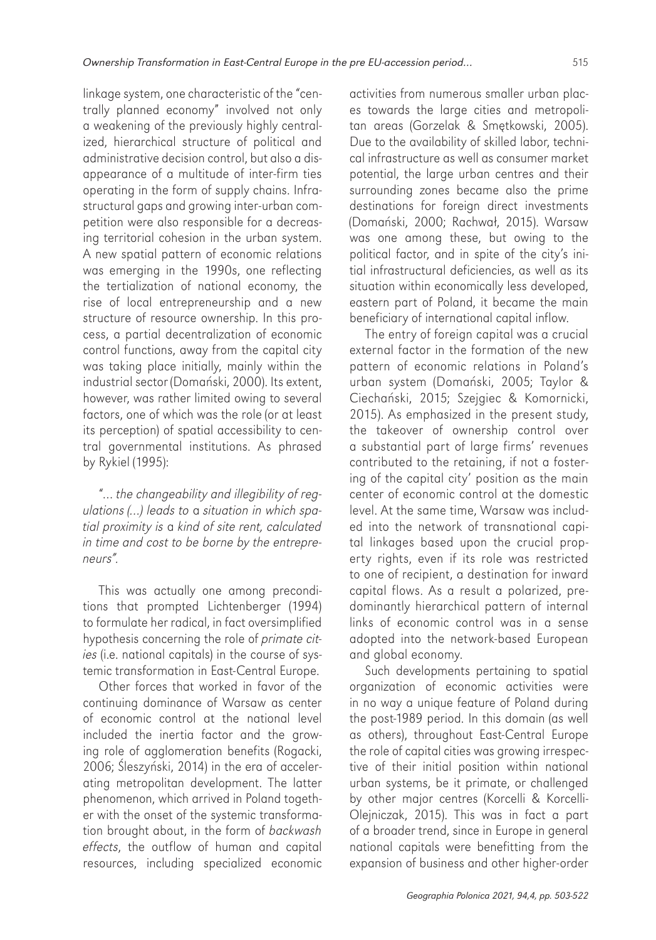linkage system, one characteristic of the "centrally planned economy" involved not only a weakening of the previously highly centralized, hierarchical structure of political and administrative decision control, but also a disappearance of a multitude of inter-firm ties operating in the form of supply chains. Infrastructural gaps and growing inter-urban competition were also responsible for a decreasing territorial cohesion in the urban system. A new spatial pattern of economic relations was emerging in the 1990s, one reflecting the tertialization of national economy, the rise of local entrepreneurship and a new structure of resource ownership. In this process, a partial decentralization of economic control functions, away from the capital city was taking place initially, mainly within the industrial sector (Domański, 2000). Its extent, however, was rather limited owing to several factors, one of which was the role (or at least its perception) of spatial accessibility to central governmental institutions. As phrased by Rykiel (1995):

"… the changeability and illegibility of regulations (…) leads to a situation in which spatial proximity is a kind of site rent, calculated in time and cost to be borne by the entrepreneurs".

This was actually one among preconditions that prompted Lichtenberger (1994) to formulate her radical, in fact oversimplified hypothesis concerning the role of primate cities (i.e. national capitals) in the course of systemic transformation in East-Central Europe.

Other forces that worked in favor of the continuing dominance of Warsaw as center of economic control at the national level included the inertia factor and the growing role of agglomeration benefits (Rogacki, 2006; Śleszyński, 2014) in the era of accelerating metropolitan development. The latter phenomenon, which arrived in Poland together with the onset of the systemic transformation brought about, in the form of backwash effects, the outflow of human and capital resources, including specialized economic

activities from numerous smaller urban places towards the large cities and metropolitan areas (Gorzelak & Smętkowski, 2005). Due to the availability of skilled labor, technical infrastructure as well as consumer market potential, the large urban centres and their surrounding zones became also the prime destinations for foreign direct investments (Domański, 2000; Rachwał, 2015). Warsaw was one among these, but owing to the political factor, and in spite of the city's initial infrastructural deficiencies, as well as its situation within economically less developed, eastern part of Poland, it became the main beneficiary of international capital inflow.

The entry of foreign capital was a crucial external factor in the formation of the new pattern of economic relations in Poland's urban system (Domański, 2005; Taylor & Ciechański, 2015; Szejgiec & Komornicki, 2015). As emphasized in the present study, the takeover of ownership control over a substantial part of large firms' revenues contributed to the retaining, if not a fostering of the capital city' position as the main center of economic control at the domestic level. At the same time, Warsaw was included into the network of transnational capital linkages based upon the crucial property rights, even if its role was restricted to one of recipient, a destination for inward capital flows. As a result a polarized, predominantly hierarchical pattern of internal links of economic control was in a sense adopted into the network-based European and global economy.

Such developments pertaining to spatial organization of economic activities were in no way a unique feature of Poland during the post-1989 period. In this domain (as well as others), throughout East-Central Europe the role of capital cities was growing irrespective of their initial position within national urban systems, be it primate, or challenged by other major centres (Korcelli & Korcelli-Olejniczak, 2015). This was in fact a part of a broader trend, since in Europe in general national capitals were benefitting from the expansion of business and other higher-order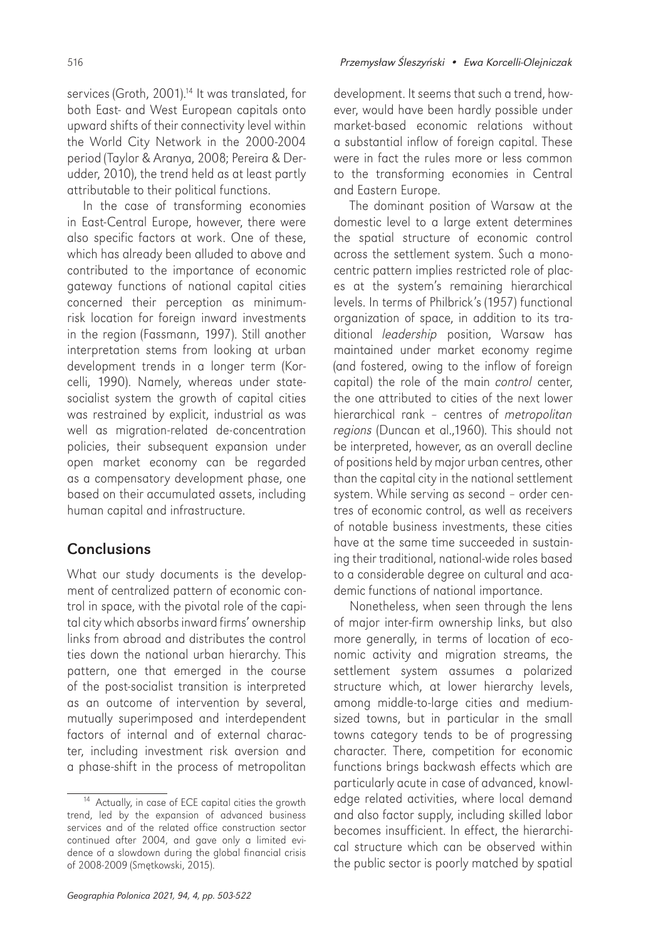udder, 2010), the trend held as at least partly

attributable to their political functions. In the case of transforming economies in East-Central Europe, however, there were also specific factors at work. One of these, which has already been alluded to above and contributed to the importance of economic gateway functions of national capital cities concerned their perception as minimumrisk location for foreign inward investments in the region (Fassmann, 1997). Still another interpretation stems from looking at urban development trends in a longer term (Korcelli, 1990). Namely, whereas under statesocialist system the growth of capital cities was restrained by explicit, industrial as was well as migration-related de-concentration policies, their subsequent expansion under open market economy can be regarded as a compensatory development phase, one based on their accumulated assets, including human capital and infrastructure.

## **Conclusions**

What our study documents is the development of centralized pattern of economic control in space, with the pivotal role of the capital city which absorbs inward firms' ownership links from abroad and distributes the control ties down the national urban hierarchy. This pattern, one that emerged in the course of the post-socialist transition is interpreted as an outcome of intervention by several, mutually superimposed and interdependent factors of internal and of external character, including investment risk aversion and a phase-shift in the process of metropolitan

and Eastern Europe.

The dominant position of Warsaw at the domestic level to a large extent determines the spatial structure of economic control across the settlement system. Such a monocentric pattern implies restricted role of places at the system's remaining hierarchical levels. In terms of Philbrick's (1957) functional organization of space, in addition to its traditional *leadership* position, Warsaw has maintained under market economy regime (and fostered, owing to the inflow of foreign capital) the role of the main control center, the one attributed to cities of the next lower hierarchical rank – centres of metropolitan regions (Duncan et al.,1960). This should not be interpreted, however, as an overall decline of positions held by major urban centres, other than the capital city in the national settlement system. While serving as second – order centres of economic control, as well as receivers of notable business investments, these cities have at the same time succeeded in sustaining their traditional, national-wide roles based to a considerable degree on cultural and academic functions of national importance.

Nonetheless, when seen through the lens of major inter-firm ownership links, but also more generally, in terms of location of economic activity and migration streams, the settlement system assumes a polarized structure which, at lower hierarchy levels, among middle-to-large cities and mediumsized towns, but in particular in the small towns category tends to be of progressing character. There, competition for economic functions brings backwash effects which are particularly acute in case of advanced, knowledge related activities, where local demand and also factor supply, including skilled labor becomes insufficient. In effect, the hierarchical structure which can be observed within the public sector is poorly matched by spatial

<sup>&</sup>lt;sup>14</sup> Actually, in case of ECE capital cities the growth trend, led by the expansion of advanced business services and of the related office construction sector continued after 2004, and gave only a limited evidence of a slowdown during the global financial crisis of 2008-2009 (Smętkowski, 2015).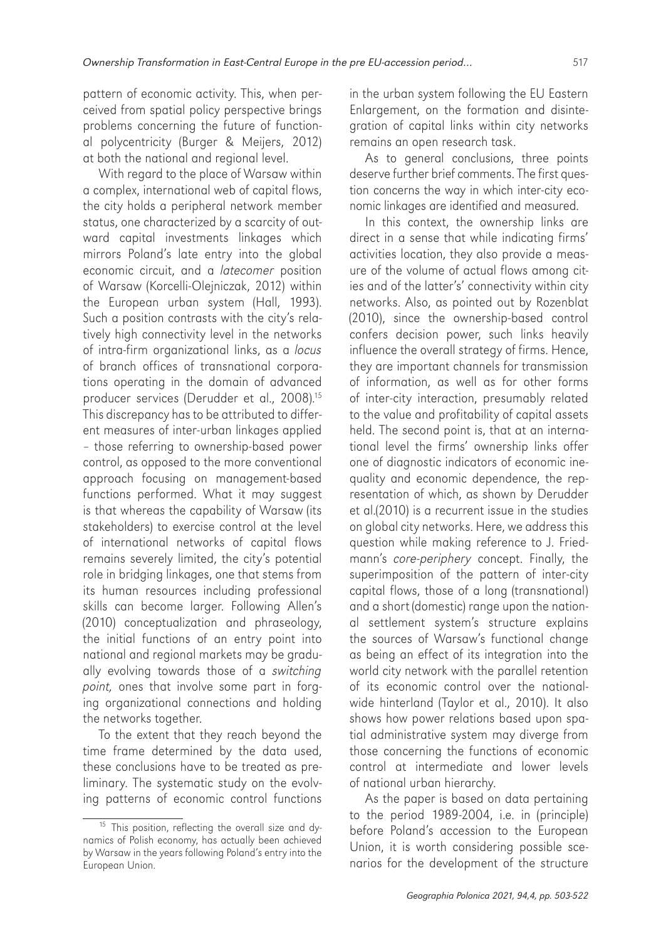pattern of economic activity. This, when perceived from spatial policy perspective brings problems concerning the future of functional polycentricity (Burger & Meijers, 2012) at both the national and regional level.

With regard to the place of Warsaw within a complex, international web of capital flows, the city holds a peripheral network member status, one characterized by a scarcity of outward capital investments linkages which mirrors Poland's late entry into the global economic circuit, and a latecomer position of Warsaw (Korcelli-Olejniczak, 2012) within the European urban system (Hall, 1993). Such a position contrasts with the city's relatively high connectivity level in the networks of intra-firm organizational links, as a locus of branch offices of transnational corporations operating in the domain of advanced producer services (Derudder et al., 2008).<sup>15</sup> This discrepancy has to be attributed to different measures of inter-urban linkages applied – those referring to ownership-based power control, as opposed to the more conventional approach focusing on management-based functions performed. What it may suggest is that whereas the capability of Warsaw (its stakeholders) to exercise control at the level of international networks of capital flows remains severely limited, the city's potential role in bridging linkages, one that stems from its human resources including professional skills can become larger. Following Allen's (2010) conceptualization and phraseology, the initial functions of an entry point into national and regional markets may be gradually evolving towards those of a switching point, ones that involve some part in forging organizational connections and holding the networks together.

To the extent that they reach beyond the time frame determined by the data used, these conclusions have to be treated as preliminary. The systematic study on the evolving patterns of economic control functions in the urban system following the EU Eastern Enlargement, on the formation and disintegration of capital links within city networks remains an open research task.

As to general conclusions, three points deserve further brief comments. The first question concerns the way in which inter-city economic linkages are identified and measured.

In this context, the ownership links are direct in a sense that while indicating firms' activities location, they also provide a measure of the volume of actual flows among cities and of the latter's' connectivity within city networks. Also, as pointed out by Rozenblat (2010), since the ownership-based control confers decision power, such links heavily influence the overall strategy of firms. Hence, they are important channels for transmission of information, as well as for other forms of inter-city interaction, presumably related to the value and profitability of capital assets held. The second point is, that at an international level the firms' ownership links offer one of diagnostic indicators of economic inequality and economic dependence, the representation of which, as shown by Derudder et al.(2010) is a recurrent issue in the studies on global city networks. Here, we address this question while making reference to J. Friedmann's core-periphery concept. Finally, the superimposition of the pattern of inter-city capital flows, those of a long (transnational) and a short (domestic) range upon the national settlement system's structure explains the sources of Warsaw's functional change as being an effect of its integration into the world city network with the parallel retention of its economic control over the nationalwide hinterland (Taylor et al., 2010). It also shows how power relations based upon spatial administrative system may diverge from those concerning the functions of economic control at intermediate and lower levels of national urban hierarchy.

As the paper is based on data pertaining to the period 1989-2004, i.e. in (principle) before Poland's accession to the European Union, it is worth considering possible scenarios for the development of the structure

<sup>&</sup>lt;sup>15</sup> This position, reflecting the overall size and dynamics of Polish economy, has actually been achieved by Warsaw in the years following Poland's entry into the European Union.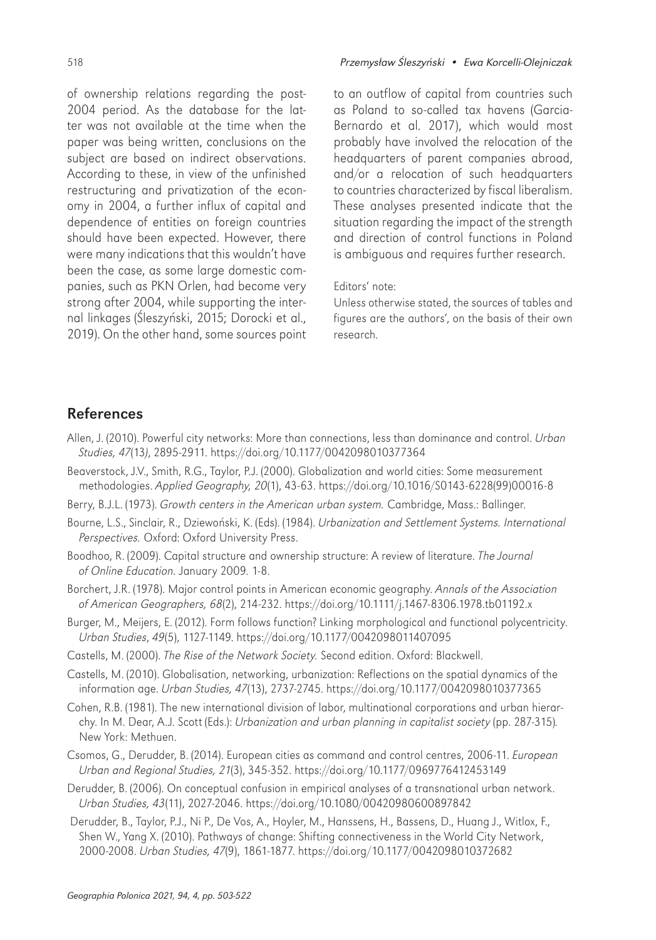of ownership relations regarding the post-2004 period. As the database for the latter was not available at the time when the paper was being written, conclusions on the subject are based on indirect observations. According to these, in view of the unfinished restructuring and privatization of the economy in 2004, a further influx of capital and dependence of entities on foreign countries should have been expected. However, there were many indications that this wouldn't have been the case, as some large domestic companies, such as PKN Orlen, had become very strong after 2004, while supporting the internal linkages (Śleszyński, 2015; Dorocki et al., 2019). On the other hand, some sources point

#### 518 Przemysław Śleszyński • Ewa Korcelli-Olejniczak

to an outflow of capital from countries such as Poland to so-called tax havens (Garcia-Bernardo et al. 2017), which would most probably have involved the relocation of the headquarters of parent companies abroad, and/or a relocation of such headquarters to countries characterized by fiscal liberalism. These analyses presented indicate that the situation regarding the impact of the strength and direction of control functions in Poland is ambiguous and requires further research.

#### Editors' note:

Unless otherwise stated, the sources of tables and figures are the authors', on the basis of their own research.

### References

- Allen, J. (2010). Powerful city networks: More than connections, less than dominance and control. Urban Studies, 47(13), 2895-2911. https://doi.org/10.1177/0042098010377364
- Beaverstock, J.V., Smith, R.G., Taylor, P.J. (2000). Globalization and world cities: Some measurement methodologies. Applied Geography, 20(1), 43-63. [https://doi.org/10.1016/S0143-6228\(99\)00016-8](https://doi.org/10.1016/S0143-6228(99)00016-8)
- Berry, B.J.L. (1973). Growth centers in the American urban system. Cambridge, Mass.: Ballinger.
- Bourne, L.S., Sinclair, R., Dziewoński, K. (Eds). (1984). Urbanization and Settlement Systems. International Perspectives. Oxford: Oxford University Press.
- Boodhoo, R. (2009). Capital structure and ownership structure: A review of literature. The Journal of Online Education. January 2009. 1-8.
- Borchert, J.R. (1978). Major control points in American economic geography. Annals of the Association of American Geographers, 68(2), 214-232. https://doi.org/10.1111/j.1467-8306.1978.tb01192.x
- Burger, M., Meijers, E. (2012). Form follows function? Linking morphological and functional polycentricity. Urban Studies, 49(5), 1127-1149. https://doi.org/10.1177/0042098011407095
- Castells, M. (2000). The Rise of the Network Society. Second edition. Oxford: Blackwell.
- Castells, M. (2010). Globalisation, networking, urbanization: Reflections on the spatial dynamics of the information age. Urban Studies, 47(13), 2737-2745. https://doi.org/10.1177/0042098010377365
- Cohen, R.B. (1981). The new international division of labor, multinational corporations and urban hierarchy. In M. Dear, A.J. Scott (Eds.): Urbanization and urban planning in capitalist society (pp. 287-315). New York: Methuen.
- Csomos, G., Derudder, B. (2014). European cities as command and control centres, 2006-11. European Urban and Regional Studies, 21(3), 345-352. https://doi.org/10.1177/0969776412453149
- Derudder, B. (2006). On conceptual confusion in empirical analyses of a transnational urban network. Urban Studies, 43(11), 2027-2046. https://doi.org/10.1080/00420980600897842
- Derudder, B., Taylor, P.J., Ni P., De Vos, A., Hoyler, M., Hanssens, H., Bassens, D., Huang J., Witlox, F., Shen W., Yang X. (2010). Pathways of change: Shifting connectiveness in the World City Network, 2000-2008. Urban Studies, 47(9), 1861-1877. [https://doi.org/10.1177/0042098010372682](https://doi.org/10.1177%2F0042098010372682)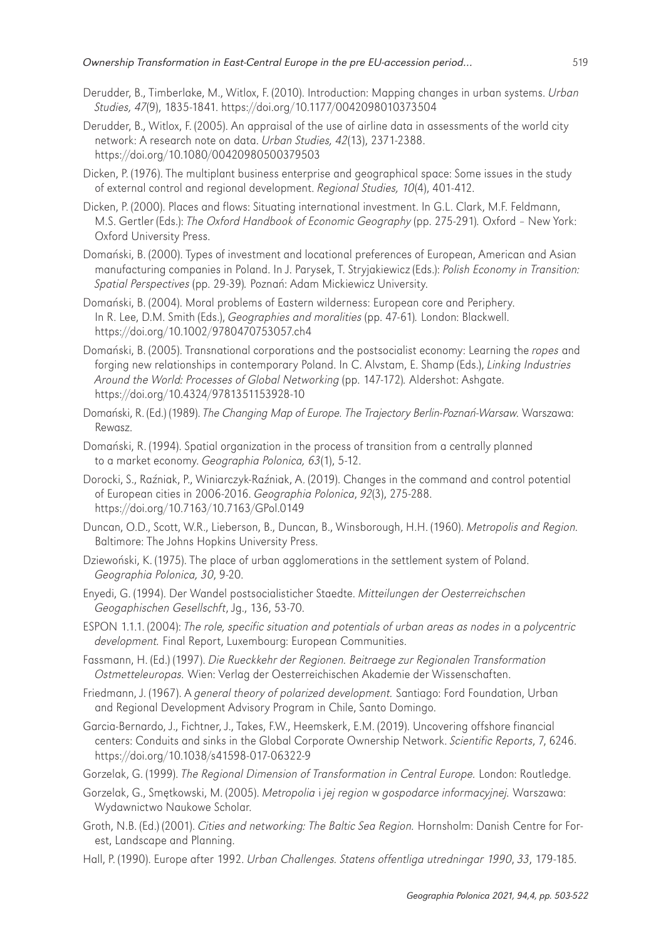- Derudder, B., Timberlake, M., Witlox, F. (2010). Introduction: Mapping changes in urban systems. Urban Studies, 47(9), 1835-1841. https://doi.org/10.1177/0042098010373504
- Derudder, B., Witlox, F. (2005). An appraisal of the use of airline data in assessments of the world city network: A research note on data. Urban Studies, 42(13), 2371-2388. https://doi.org/10.1080/00420980500379503
- Dicken, P. (1976). The multiplant business enterprise and geographical space: Some issues in the study of external control and regional development. Regional Studies, 10(4), 401-412.
- Dicken, P. (2000). Places and flows: Situating international investment. In G.L. Clark, M.F. Feldmann, M.S. Gertler (Eds.): The Oxford Handbook of Economic Geography (pp. 275-291). Oxford – New York: Oxford University Press.
- Domański, B. (2000). Types of investment and locational preferences of European, American and Asian manufacturing companies in Poland. In J. Parysek, T. Stryjakiewicz (Eds.): Polish Economy in Transition: Spatial Perspectives (pp. 29-39). Poznań: Adam Mickiewicz University.
- Domański, B. (2004). Moral problems of Eastern wilderness: European core and Periphery. In R. Lee, D.M. Smith (Eds.), *Geographies and moralities* (pp. 47-61). London: Blackwell. https://doi.org/10.1002/9780470753057.ch4
- Domański, B. (2005). Transnational corporations and the postsocialist economy: Learning the ropes and forging new relationships in contemporary Poland. In C. Alvstam, E. Shamp (Eds.), Linking Industries Around the World: Processes of Global Networking (pp. 147-172). Aldershot: Ashgate. https://doi.org/10.4324/9781351153928-10
- Domański, R. (Ed.) (1989). The Changing Map of Europe. The Trajectory Berlin-Poznań-Warsaw. Warszawa: Rewasz.
- Domański, R. (1994). Spatial organization in the process of transition from a centrally planned to a market economy. Geographia Polonica, 63(1), 5-12.
- Dorocki, S., Raźniak, P., Winiarczyk-Raźniak, A. (2019). Changes in the command and control potential of European cities in 2006-2016. Geographia Polonica, 92(3), 275-288. https://doi.org/10.7163/10.7163/GPol.0149
- Duncan, O.D., Scott, W.R., Lieberson, B., Duncan, B., Winsborough, H.H. (1960). Metropolis and Region. Baltimore: The Johns Hopkins University Press.
- Dziewoński, K. (1975). The place of urban agglomerations in the settlement system of Poland. Geographia Polonica, 30, 9-20.
- Enyedi, G. (1994). Der Wandel postsocialisticher Staedte. Mitteilungen der Oesterreichschen Geogaphischen Gesellschft, Jg., 136, 53-70.
- ESPON 1.1.1. (2004): The role, specific situation and potentials of urban areas as nodes in a polycentric development. Final Report, Luxembourg: European Communities.
- Fassmann, H. (Ed.) (1997). Die Rueckkehr der Regionen. Beitraege zur Regionalen Transformation Ostmetteleuropas. Wien: Verlag der Oesterreichischen Akademie der Wissenschaften.
- Friedmann, J. (1967). A general theory of polarized development. Santiago: Ford Foundation, Urban and Regional Development Advisory Program in Chile, Santo Domingo.
- Garcia-Bernardo, J., Fichtner, J., Takes, F.W., Heemskerk, E.M. (2019). Uncovering offshore financial centers: Conduits and sinks in the Global Corporate Ownership Network. Scientific Reports, 7, 6246. https://doi.org/10.1038/s41598-017-06322-9
- Gorzelak, G. (1999). The Regional Dimension of Transformation in Central Europe. London: Routledge.
- Gorzelak, G., Smętkowski, M. (2005). Metropolia i jej region w gospodarce informacyjnej. Warszawa: Wydawnictwo Naukowe Scholar.
- Groth, N.B. (Ed.) (2001). Cities and networking: The Baltic Sea Region. Hornsholm: Danish Centre for Forest, Landscape and Planning.
- Hall, P. (1990). Europe after 1992. Urban Challenges. Statens offentliga utredningar 1990, 33, 179-185.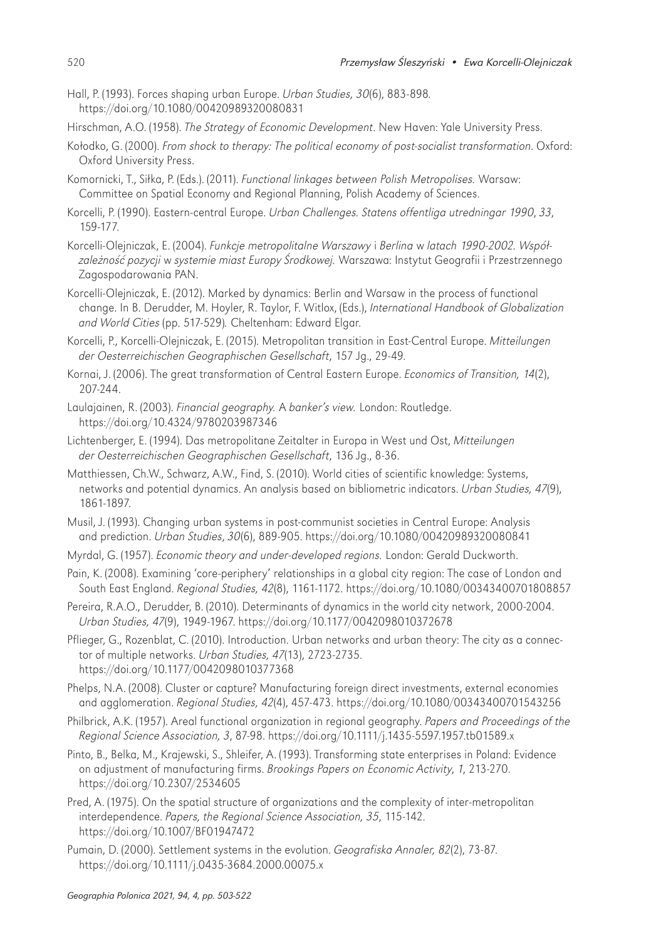- Hall, P. (1993). Forces shaping urban Europe. Urban Studies, 30(6), 883-898. https://doi.org/10.1080/00420989320080831
- Hirschman, A.O. (1958). The Strategy of Economic Development. New Haven: Yale University Press.
- Kołodko, G. (2000). From shock to therapy: The political economy of post-socialist transformation. Oxford: Oxford University Press.
- Komornicki, T., Siłka, P. (Eds.). (2011). Functional linkages between Polish Metropolises. Warsaw: Committee on Spatial Economy and Regional Planning, Polish Academy of Sciences.
- Korcelli, P. (1990). Eastern-central Europe. Urban Challenges. Statens offentliga utredningar 1990, 33, 159-177.
- Korcelli-Olejniczak, E. (2004). Funkcje metropolitalne Warszawy i Berlina w latach 1990-2002. Współzależność pozycji w systemie miast Europy Środkowej. Warszawa: Instytut Geografii i Przestrzennego Zagospodarowania PAN.
- Korcelli-Olejniczak, E. (2012). Marked by dynamics: Berlin and Warsaw in the process of functional change. In B. Derudder, M. Hoyler, R. Taylor, F. Witlox, (Eds.), International Handbook of Globalization and World Cities (pp. 517-529). Cheltenham: Edward Elgar.
- Korcelli, P., Korcelli-Olejniczak, E. (2015). Metropolitan transition in East-Central Europe. Mitteilungen der Oesterreichischen Geographischen Gesellschaft, 157 Jg., 29-49.
- Kornai, J. (2006). The great transformation of Central Eastern Europe. Economics of Transition, 14(2), 207-244.
- Laulajainen, R. (2003). Financial geography. A banker's view. London: Routledge. https://doi.org/10.4324/9780203987346
- Lichtenberger, E. (1994). Das metropolitane Zeitalter in Europa in West und Ost, Mitteilungen der Oesterreichischen Geographischen Gesellschaft, 136 Jg., 8-36.
- Matthiessen, Ch.W., Schwarz, A.W., Find, S. (2010). World cities of scientific knowledge: Systems, networks and potential dynamics. An analysis based on bibliometric indicators. Urban Studies, 47(9), 1861-1897.
- Musil, J. (1993). Changing urban systems in post-communist societies in Central Europe: Analysis and prediction. Urban Studies, 30(6), 889-905. https://doi.org/10.1080/00420989320080841
- Myrdal, G. (1957). Economic theory and under-developed regions. London: Gerald Duckworth.
- Pain, K. (2008). Examining 'core-periphery' relationships in a global city region: The case of London and South East England. Regional Studies, 42(8), 1161-1172. https://doi.org/10.1080/00343400701808857
- Pereira, R.A.O., Derudder, B. (2010). Determinants of dynamics in the world city network, 2000-2004. Urban Studies, 47(9), 1949-1967. https://doi.org/10.1177/0042098010372678
- Pflieger, G., Rozenblat, C. (2010). Introduction. Urban networks and urban theory: The city as a connector of multiple networks. Urban Studies, 47(13), 2723-2735. https://doi.org/10.1177/0042098010377368
- Phelps, N.A. (2008). Cluster or capture? Manufacturing foreign direct investments, external economies and agglomeration. Regional Studies, 42(4), 457-473. https://doi.org/10.1080/00343400701543256
- Philbrick, A.K. (1957). Areal functional organization in regional geography. Papers and Proceedings of the Regional Science Association, 3, 87-98. https://doi.org/10.1111/j.1435-5597.1957.tb01589.x
- Pinto, B., Belka, M., Krajewski, S., Shleifer, A. (1993). Transforming state enterprises in Poland: Evidence on adjustment of manufacturing firms. Brookings Papers on Economic Activity, 1, 213-270. https://doi.org/10.2307/2534605
- Pred, A. (1975). On the spatial structure of organizations and the complexity of inter-metropolitan interdependence. Papers, the Regional Science Association, 35, 115-142. https://doi.org/10.1007/BF01947472
- Pumain, D. (2000). Settlement systems in the evolution. Geografiska Annaler, 82(2), 73-87. <https://doi.org/10.1111/j.0435-3684.2000.00075.x>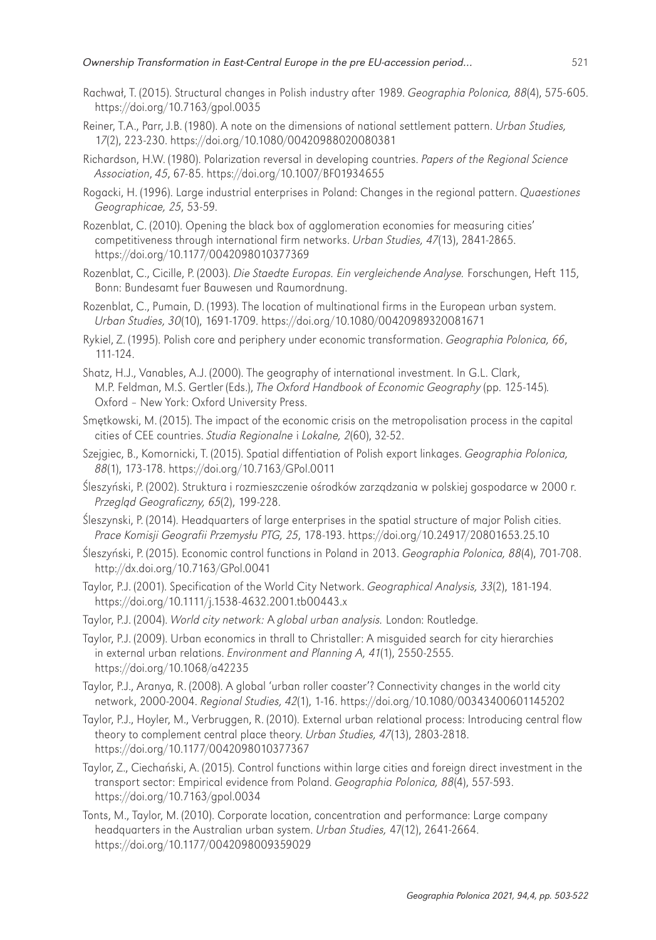- Rachwał, T. (2015). Structural changes in Polish industry after 1989. Geographia Polonica, 88(4), 575-605. https://doi.org/10.7163/gpol.0035
- Reiner, T.A., Parr, J.B. (1980). A note on the dimensions of national settlement pattern. Urban Studies, 17(2), 223-230. https://doi.org/10.1080/00420988020080381
- Richardson, H.W. (1980). Polarization reversal in developing countries. Papers of the Regional Science Association, 45, 67-85. https://doi.org/10.1007/BF01934655
- Rogacki, H. (1996). Large industrial enterprises in Poland: Changes in the regional pattern. Quaestiones Geographicae, 25, 53-59.
- Rozenblat, C. (2010). Opening the black box of agglomeration economies for measuring cities' competitiveness through international firm networks. Urban Studies, 47(13), 2841-2865. https://doi.org/10.1177/0042098010377369
- Rozenblat, C., Cicille, P. (2003). Die Staedte Europas. Ein vergleichende Analyse. Forschungen, Heft 115, Bonn: Bundesamt fuer Bauwesen und Raumordnung.
- Rozenblat, C., Pumain, D. (1993). The location of multinational firms in the European urban system. Urban Studies, 30(10), 1691-1709. https://doi.org/10.1080/00420989320081671
- Rykiel, Z. (1995). Polish core and periphery under economic transformation. Geographia Polonica, 66, 111-124.
- Shatz, H.J., Vanables, A.J. (2000). The geography of international investment. In G.L. Clark, M.P. Feldman, M.S. Gertler (Eds.), The Oxford Handbook of Economic Geography (pp. 125-145). Oxford – New York: Oxford University Press.
- Smętkowski, M. (2015). The impact of the economic crisis on the metropolisation process in the capital cities of CEE countries. Studia Regionalne i Lokalne, 2(60), 32-52.
- Szejgiec, B., Komornicki, T. (2015). Spatial diffentiation of Polish export linkages. Geographia Polonica, 88(1), 173-178. https://doi.org/10.7163/GPol.0011
- Śleszyński, P. (2002). Struktura i rozmieszczenie ośrodków zarządzania w polskiej gospodarce w 2000 r. Przegląd Geograficzny, 65(2), 199-228.
- Śleszynski, P. (2014). Headquarters of large enterprises in the spatial structure of major Polish cities. Prace Komisji Geografii Przemysłu PTG, 25, 178-193. https://doi.org/10.24917/20801653.25.10
- Śleszyński, P. (2015). Economic control functions in Poland in 2013. Geographia Polonica, 88(4), 701-708. http://dx.doi.org/10.7163/GPol.0041
- Taylor, P.J. (2001). Specification of the World City Network. Geographical Analysis, 33(2), 181-194. https://doi.org/10.1111/j.1538-4632.2001.tb00443.x
- Taylor, P.J. (2004). World city network: A global urban analysis. London: Routledge.
- Taylor, P.J. (2009). Urban economics in thrall to Christaller: A misguided search for city hierarchies in external urban relations. Environment and Planning A, 41(1), 2550-2555. https://doi.org/10.1068/a42235
- Taylor, P.J., Aranya, R. (2008). A global 'urban roller coaster'? Connectivity changes in the world city network, 2000-2004. Regional Studies, 42(1), 1-16. https://doi.org/10.1080/00343400601145202
- Taylor, P.J., Hoyler, M., Verbruggen, R. (2010). External urban relational process: Introducing central flow theory to complement central place theory. Urban Studies, 47(13), 2803-2818. https://doi.org/10.1177/0042098010377367
- Taylor, Z., Ciechański, A. (2015). Control functions within large cities and foreign direct investment in the transport sector: Empirical evidence from Poland. Geographia Polonica, 88(4), 557-593. https://doi.org/10.7163/gpol.0034
- Tonts, M., Taylor, M. (2010). Corporate location, concentration and performance: Large company headquarters in the Australian urban system. Urban Studies, 47(12), 2641-2664. <https://doi.org/10.1177/0042098009359029>